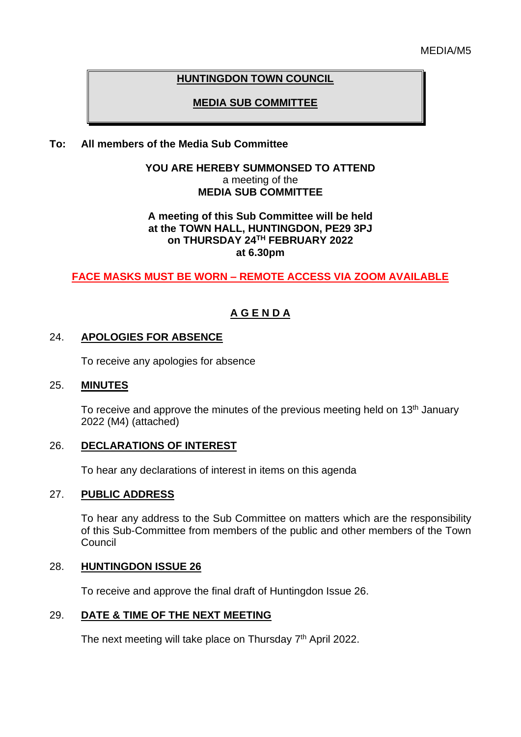# **HUNTINGDON TOWN COUNCIL**

# **MEDIA SUB COMMITTEE**

# **To: All members of the Media Sub Committee**

## **YOU ARE HEREBY SUMMONSED TO ATTEND** a meeting of the **MEDIA SUB COMMITTEE**

## **A meeting of this Sub Committee will be held at the TOWN HALL, HUNTINGDON, PE29 3PJ on THURSDAY 24TH FEBRUARY 2022 at 6.30pm**

# **FACE MASKS MUST BE WORN – REMOTE ACCESS VIA ZOOM AVAILABLE**

# **A G E N D A**

## 24. **APOLOGIES FOR ABSENCE**

To receive any apologies for absence

#### 25. **MINUTES**

To receive and approve the minutes of the previous meeting held on 13<sup>th</sup> January 2022 (M4) (attached)

## 26. **DECLARATIONS OF INTEREST**

To hear any declarations of interest in items on this agenda

## 27. **PUBLIC ADDRESS**

To hear any address to the Sub Committee on matters which are the responsibility of this Sub-Committee from members of the public and other members of the Town Council

## 28. **HUNTINGDON ISSUE 26**

To receive and approve the final draft of Huntingdon Issue 26.

## 29. **DATE & TIME OF THE NEXT MEETING**

The next meeting will take place on Thursday 7<sup>th</sup> April 2022.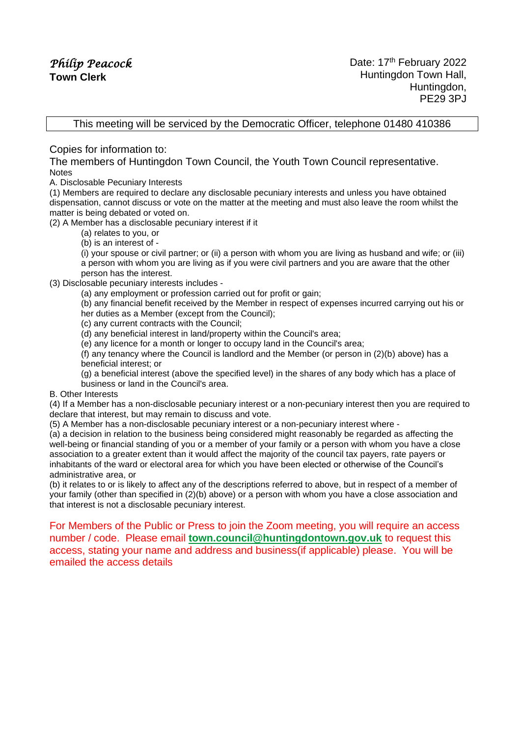This meeting will be serviced by the Democratic Officer, telephone 01480 410386

Copies for information to:

The members of Huntingdon Town Council, the Youth Town Council representative. Notes

A. Disclosable Pecuniary Interests

(1) Members are required to declare any disclosable pecuniary interests and unless you have obtained dispensation, cannot discuss or vote on the matter at the meeting and must also leave the room whilst the matter is being debated or voted on.

(2) A Member has a disclosable pecuniary interest if it

(a) relates to you, or

(b) is an interest of -

(i) your spouse or civil partner; or (ii) a person with whom you are living as husband and wife; or (iii) a person with whom you are living as if you were civil partners and you are aware that the other person has the interest.

(3) Disclosable pecuniary interests includes -

(a) any employment or profession carried out for profit or gain;

(b) any financial benefit received by the Member in respect of expenses incurred carrying out his or her duties as a Member (except from the Council);

(c) any current contracts with the Council;

(d) any beneficial interest in land/property within the Council's area;

(e) any licence for a month or longer to occupy land in the Council's area;

(f) any tenancy where the Council is landlord and the Member (or person in (2)(b) above) has a beneficial interest; or

(g) a beneficial interest (above the specified level) in the shares of any body which has a place of business or land in the Council's area.

#### B. Other Interests

(4) If a Member has a non-disclosable pecuniary interest or a non-pecuniary interest then you are required to declare that interest, but may remain to discuss and vote.

(5) A Member has a non-disclosable pecuniary interest or a non-pecuniary interest where -

(a) a decision in relation to the business being considered might reasonably be regarded as affecting the well-being or financial standing of you or a member of your family or a person with whom you have a close association to a greater extent than it would affect the majority of the council tax payers, rate payers or inhabitants of the ward or electoral area for which you have been elected or otherwise of the Council's administrative area, or

(b) it relates to or is likely to affect any of the descriptions referred to above, but in respect of a member of your family (other than specified in (2)(b) above) or a person with whom you have a close association and that interest is not a disclosable pecuniary interest.

For Members of the Public or Press to join the Zoom meeting, you will require an access number / code. Please email **[town.council@huntingdontown.gov.uk](mailto:town.council@huntingdontown.gov.uk)** to request this access, stating your name and address and business(if applicable) please. You will be emailed the access details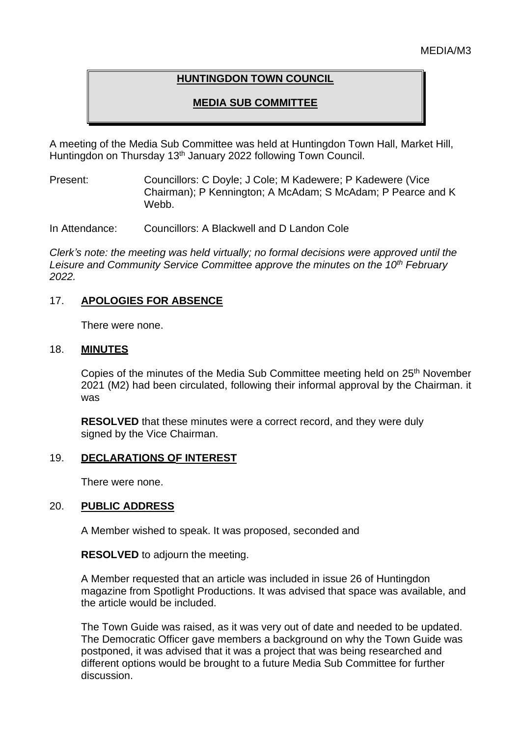# **HUNTINGDON TOWN COUNCIL**

# **MEDIA SUB COMMITTEE**

A meeting of the Media Sub Committee was held at Huntingdon Town Hall, Market Hill, Huntingdon on Thursday 13<sup>th</sup> January 2022 following Town Council.

Present: Councillors: C Doyle; J Cole; M Kadewere; P Kadewere (Vice Chairman); P Kennington; A McAdam; S McAdam; P Pearce and K Webb.

In Attendance: Councillors: A Blackwell and D Landon Cole

*Clerk's note: the meeting was held virtually; no formal decisions were approved until the Leisure and Community Service Committee approve the minutes on the 10th February 2022.*

# 17. **APOLOGIES FOR ABSENCE**

There were none.

## 18. **MINUTES**

Copies of the minutes of the Media Sub Committee meeting held on 25<sup>th</sup> November 2021 (M2) had been circulated, following their informal approval by the Chairman. it was

**RESOLVED** that these minutes were a correct record, and they were duly signed by the Vice Chairman.

# 19. **DECLARATIONS OF INTEREST**

There were none.

## 20. **PUBLIC ADDRESS**

A Member wished to speak. It was proposed, seconded and

## **RESOLVED** to adjourn the meeting.

A Member requested that an article was included in issue 26 of Huntingdon magazine from Spotlight Productions. It was advised that space was available, and the article would be included.

The Town Guide was raised, as it was very out of date and needed to be updated. The Democratic Officer gave members a background on why the Town Guide was postponed, it was advised that it was a project that was being researched and different options would be brought to a future Media Sub Committee for further discussion.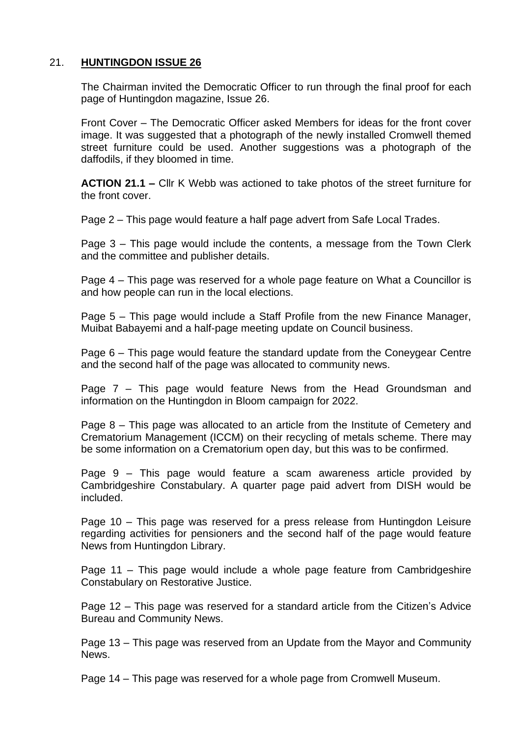# 21. **HUNTINGDON ISSUE 26**

The Chairman invited the Democratic Officer to run through the final proof for each page of Huntingdon magazine, Issue 26.

Front Cover – The Democratic Officer asked Members for ideas for the front cover image. It was suggested that a photograph of the newly installed Cromwell themed street furniture could be used. Another suggestions was a photograph of the daffodils, if they bloomed in time.

**ACTION 21.1 –** Cllr K Webb was actioned to take photos of the street furniture for the front cover.

Page 2 – This page would feature a half page advert from Safe Local Trades.

Page 3 – This page would include the contents, a message from the Town Clerk and the committee and publisher details.

Page 4 – This page was reserved for a whole page feature on What a Councillor is and how people can run in the local elections.

Page 5 – This page would include a Staff Profile from the new Finance Manager, Muibat Babayemi and a half-page meeting update on Council business.

Page 6 – This page would feature the standard update from the Coneygear Centre and the second half of the page was allocated to community news.

Page 7 – This page would feature News from the Head Groundsman and information on the Huntingdon in Bloom campaign for 2022.

Page 8 – This page was allocated to an article from the Institute of Cemetery and Crematorium Management (ICCM) on their recycling of metals scheme. There may be some information on a Crematorium open day, but this was to be confirmed.

Page 9 – This page would feature a scam awareness article provided by Cambridgeshire Constabulary. A quarter page paid advert from DISH would be included.

Page 10 – This page was reserved for a press release from Huntingdon Leisure regarding activities for pensioners and the second half of the page would feature News from Huntingdon Library.

Page 11 – This page would include a whole page feature from Cambridgeshire Constabulary on Restorative Justice.

Page 12 – This page was reserved for a standard article from the Citizen's Advice Bureau and Community News.

Page 13 – This page was reserved from an Update from the Mayor and Community News.

Page 14 – This page was reserved for a whole page from Cromwell Museum.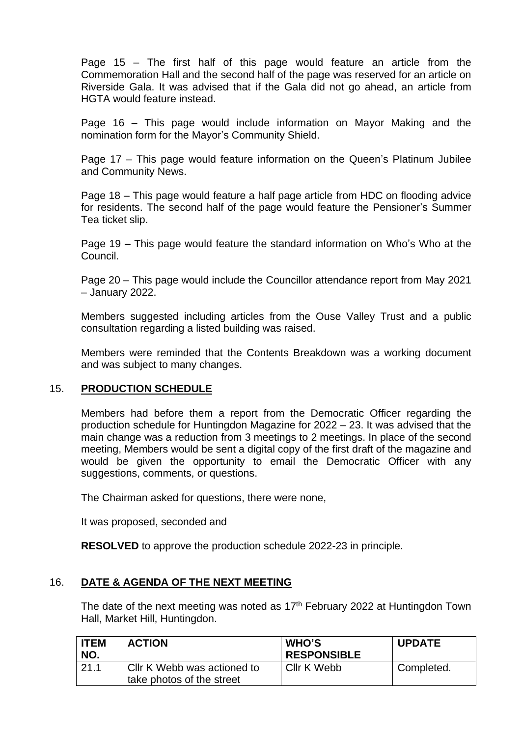Page 15 – The first half of this page would feature an article from the Commemoration Hall and the second half of the page was reserved for an article on Riverside Gala. It was advised that if the Gala did not go ahead, an article from HGTA would feature instead.

Page 16 – This page would include information on Mayor Making and the nomination form for the Mayor's Community Shield.

Page 17 – This page would feature information on the Queen's Platinum Jubilee and Community News.

Page 18 – This page would feature a half page article from HDC on flooding advice for residents. The second half of the page would feature the Pensioner's Summer Tea ticket slip.

Page 19 – This page would feature the standard information on Who's Who at the Council.

Page 20 – This page would include the Councillor attendance report from May 2021 – January 2022.

Members suggested including articles from the Ouse Valley Trust and a public consultation regarding a listed building was raised.

Members were reminded that the Contents Breakdown was a working document and was subject to many changes.

# 15. **PRODUCTION SCHEDULE**

Members had before them a report from the Democratic Officer regarding the production schedule for Huntingdon Magazine for 2022 – 23. It was advised that the main change was a reduction from 3 meetings to 2 meetings. In place of the second meeting, Members would be sent a digital copy of the first draft of the magazine and would be given the opportunity to email the Democratic Officer with any suggestions, comments, or questions.

The Chairman asked for questions, there were none,

It was proposed, seconded and

**RESOLVED** to approve the production schedule 2022-23 in principle.

## 16. **DATE & AGENDA OF THE NEXT MEETING**

The date of the next meeting was noted as  $17<sup>th</sup>$  February 2022 at Huntingdon Town Hall, Market Hill, Huntingdon.

| <b>ITEM</b><br>NO. | <b>ACTION</b>                                            | <b>WHO'S</b><br><b>RESPONSIBLE</b> | <b>UPDATE</b> |
|--------------------|----------------------------------------------------------|------------------------------------|---------------|
| 21.1               | Cllr K Webb was actioned to<br>take photos of the street | Cllr K Webb                        | Completed.    |